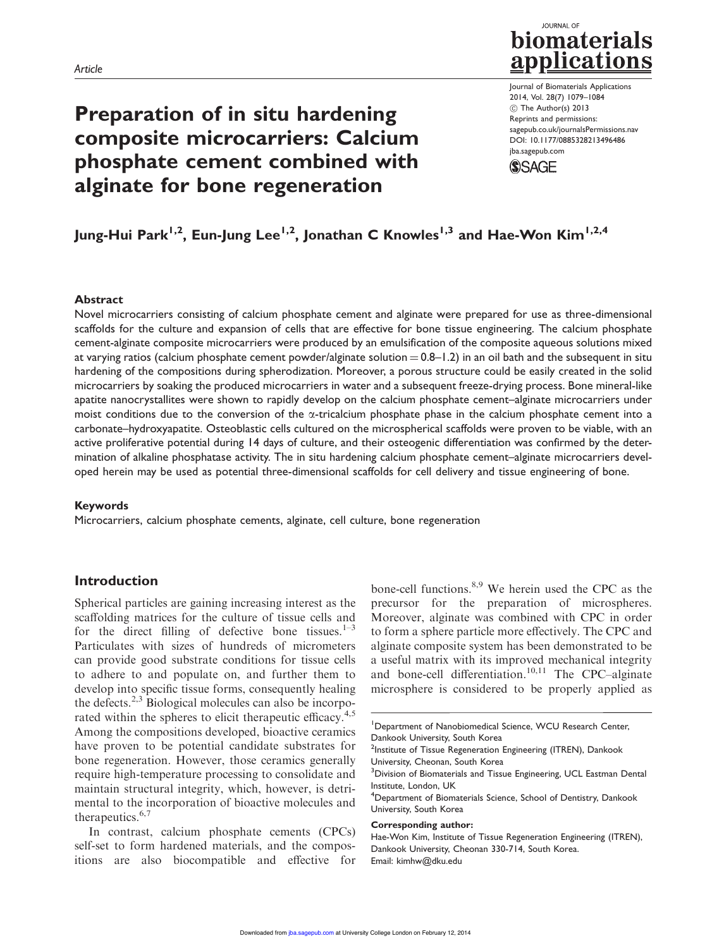# Preparation of in situ hardening composite microcarriers: Calcium phosphate cement combined with alginate for bone regeneration

# **JOURNAL OF** biomaterials applications

Journal of Biomaterials Applications 2014, Vol. 28(7) 1079–1084 ! The Author(s) 2013 Reprints and permissions: sagepub.co.uk/journalsPermissions.nav DOI: 10.1177/0885328213496486 jba.sagepub.com **SSAGE** 

# Jung-Hui Park<sup>1,2</sup>, Eun-Jung Lee<sup>1,2</sup>, Jonathan C Knowles<sup>1,3</sup> and Hae-Won Kim<sup>1,2,4</sup>

#### Abstract

Novel microcarriers consisting of calcium phosphate cement and alginate were prepared for use as three-dimensional scaffolds for the culture and expansion of cells that are effective for bone tissue engineering. The calcium phosphate cement-alginate composite microcarriers were produced by an emulsification of the composite aqueous solutions mixed at varying ratios (calcium phosphate cement powder/alginate solution  $= 0.8 - 1.2$ ) in an oil bath and the subsequent in situ hardening of the compositions during spherodization. Moreover, a porous structure could be easily created in the solid microcarriers by soaking the produced microcarriers in water and a subsequent freeze-drying process. Bone mineral-like apatite nanocrystallites were shown to rapidly develop on the calcium phosphate cement–alginate microcarriers under moist conditions due to the conversion of the  $\alpha$ -tricalcium phosphate phase in the calcium phosphate cement into a carbonate–hydroxyapatite. Osteoblastic cells cultured on the microspherical scaffolds were proven to be viable, with an active proliferative potential during 14 days of culture, and their osteogenic differentiation was confirmed by the determination of alkaline phosphatase activity. The in situ hardening calcium phosphate cement–alginate microcarriers developed herein may be used as potential three-dimensional scaffolds for cell delivery and tissue engineering of bone.

#### Keywords

Microcarriers, calcium phosphate cements, alginate, cell culture, bone regeneration

# Introduction

Spherical particles are gaining increasing interest as the scaffolding matrices for the culture of tissue cells and for the direct filling of defective bone tissues. $1-3$ Particulates with sizes of hundreds of micrometers can provide good substrate conditions for tissue cells to adhere to and populate on, and further them to develop into specific tissue forms, consequently healing the defects. $2,3$  Biological molecules can also be incorporated within the spheres to elicit therapeutic efficacy.<sup>4,5</sup> Among the compositions developed, bioactive ceramics have proven to be potential candidate substrates for bone regeneration. However, those ceramics generally require high-temperature processing to consolidate and maintain structural integrity, which, however, is detrimental to the incorporation of bioactive molecules and therapeutics. $6,7$ 

In contrast, calcium phosphate cements (CPCs) self-set to form hardened materials, and the compositions are also biocompatible and effective for

bone-cell functions.<sup>8,9</sup> We herein used the CPC as the precursor for the preparation of microspheres. Moreover, alginate was combined with CPC in order to form a sphere particle more effectively. The CPC and alginate composite system has been demonstrated to be a useful matrix with its improved mechanical integrity and bone-cell differentiation.<sup>10,11</sup> The CPC–alginate microsphere is considered to be properly applied as

#### Corresponding author:

<sup>&</sup>lt;sup>1</sup>Department of Nanobiomedical Science, WCU Research Center, Dankook University, South Korea

<sup>&</sup>lt;sup>2</sup>Institute of Tissue Regeneration Engineering (ITREN), Dankook University, Cheonan, South Korea

<sup>&</sup>lt;sup>3</sup> Division of Biomaterials and Tissue Engineering, UCL Eastman Dental Institute, London, UK

<sup>4</sup> Department of Biomaterials Science, School of Dentistry, Dankook University, South Korea

Hae-Won Kim, Institute of Tissue Regeneration Engineering (ITREN), Dankook University, Cheonan 330-714, South Korea. Email: kimhw@dku.edu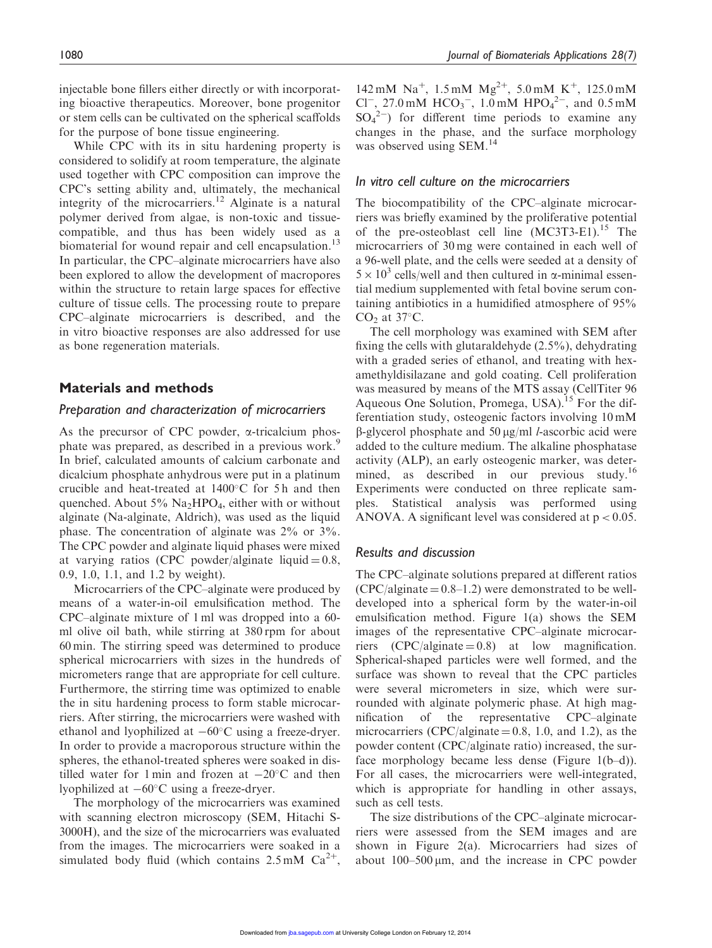injectable bone fillers either directly or with incorporating bioactive therapeutics. Moreover, bone progenitor or stem cells can be cultivated on the spherical scaffolds for the purpose of bone tissue engineering.

While CPC with its in situ hardening property is considered to solidify at room temperature, the alginate used together with CPC composition can improve the CPC's setting ability and, ultimately, the mechanical integrity of the microcarriers.<sup>12</sup> Alginate is a natural polymer derived from algae, is non-toxic and tissuecompatible, and thus has been widely used as a biomaterial for wound repair and cell encapsulation.<sup>13</sup> In particular, the CPC–alginate microcarriers have also been explored to allow the development of macropores within the structure to retain large spaces for effective culture of tissue cells. The processing route to prepare CPC–alginate microcarriers is described, and the in vitro bioactive responses are also addressed for use as bone regeneration materials.

# Materials and methods

## Preparation and characterization of microcarriers

As the precursor of CPC powder,  $\alpha$ -tricalcium phosphate was prepared, as described in a previous work.<sup>9</sup> In brief, calculated amounts of calcium carbonate and dicalcium phosphate anhydrous were put in a platinum crucible and heat-treated at  $1400^{\circ}$ C for 5h and then quenched. About  $5\%$  Na<sub>2</sub>HPO<sub>4</sub>, either with or without alginate (Na-alginate, Aldrich), was used as the liquid phase. The concentration of alginate was 2% or 3%. The CPC powder and alginate liquid phases were mixed at varying ratios (CPC powder/alginate liquid  $= 0.8$ , 0.9, 1.0, 1.1, and 1.2 by weight).

Microcarriers of the CPC–alginate were produced by means of a water-in-oil emulsification method. The CPC–alginate mixture of 1 ml was dropped into a 60 ml olive oil bath, while stirring at 380 rpm for about 60 min. The stirring speed was determined to produce spherical microcarriers with sizes in the hundreds of micrometers range that are appropriate for cell culture. Furthermore, the stirring time was optimized to enable the in situ hardening process to form stable microcarriers. After stirring, the microcarriers were washed with ethanol and lyophilized at  $-60^{\circ}$ C using a freeze-dryer. In order to provide a macroporous structure within the spheres, the ethanol-treated spheres were soaked in distilled water for 1 min and frozen at  $-20^{\circ}$ C and then lyophilized at  $-60^{\circ}$ C using a freeze-dryer.

The morphology of the microcarriers was examined with scanning electron microscopy (SEM, Hitachi S-3000H), and the size of the microcarriers was evaluated from the images. The microcarriers were soaked in a simulated body fluid (which contains  $2.5 \text{ mM } Ca^{2+}$ ,

142 mM Na<sup>+</sup>, 1.5 mM Mg<sup>2+</sup>, 5.0 mM K<sup>+</sup>, 125.0 mM Cl<sup>-</sup>, 27.0 mM  $HCO_3^-$ , 1.0 mM  $HPO_4^{2-}$ , and 0.5 mM  $SO_4^2$ ) for different time periods to examine any changes in the phase, and the surface morphology was observed using SEM.<sup>14</sup>

# In vitro cell culture on the microcarriers

The biocompatibility of the CPC–alginate microcarriers was briefly examined by the proliferative potential of the pre-osteoblast cell line  $(MC3T3-E1).$ <sup>15</sup> The microcarriers of 30 mg were contained in each well of a 96-well plate, and the cells were seeded at a density of  $5 \times 10^3$  cells/well and then cultured in  $\alpha$ -minimal essential medium supplemented with fetal bovine serum containing antibiotics in a humidified atmosphere of 95%  $CO<sub>2</sub>$  at 37 $°C$ .

The cell morphology was examined with SEM after fixing the cells with glutaraldehyde (2.5%), dehydrating with a graded series of ethanol, and treating with hexamethyldisilazane and gold coating. Cell proliferation was measured by means of the MTS assay (CellTiter 96 Aqueous One Solution, Promega, USA).<sup>15</sup> For the differentiation study, osteogenic factors involving 10 mM  $\beta$ -glycerol phosphate and 50 µg/ml *l*-ascorbic acid were added to the culture medium. The alkaline phosphatase activity (ALP), an early osteogenic marker, was determined, as described in our previous study.<sup>16</sup> Experiments were conducted on three replicate samples. Statistical analysis was performed using ANOVA. A significant level was considered at  $p < 0.05$ .

## Results and discussion

The CPC–alginate solutions prepared at different ratios  $(CPC/aligned = 0.8-1.2)$  were demonstrated to be welldeveloped into a spherical form by the water-in-oil emulsification method. Figure 1(a) shows the SEM images of the representative CPC–alginate microcarriers  $(CPC/alginate = 0.8)$  at low magnification. Spherical-shaped particles were well formed, and the surface was shown to reveal that the CPC particles were several micrometers in size, which were surrounded with alginate polymeric phase. At high magnification of the representative CPC–alginate microcarriers (CPC/alginate  $= 0.8, 1.0,$  and 1.2), as the powder content (CPC/alginate ratio) increased, the surface morphology became less dense (Figure 1(b–d)). For all cases, the microcarriers were well-integrated, which is appropriate for handling in other assays, such as cell tests.

The size distributions of the CPC–alginate microcarriers were assessed from the SEM images and are shown in Figure 2(a). Microcarriers had sizes of about  $100-500 \,\mu m$ , and the increase in CPC powder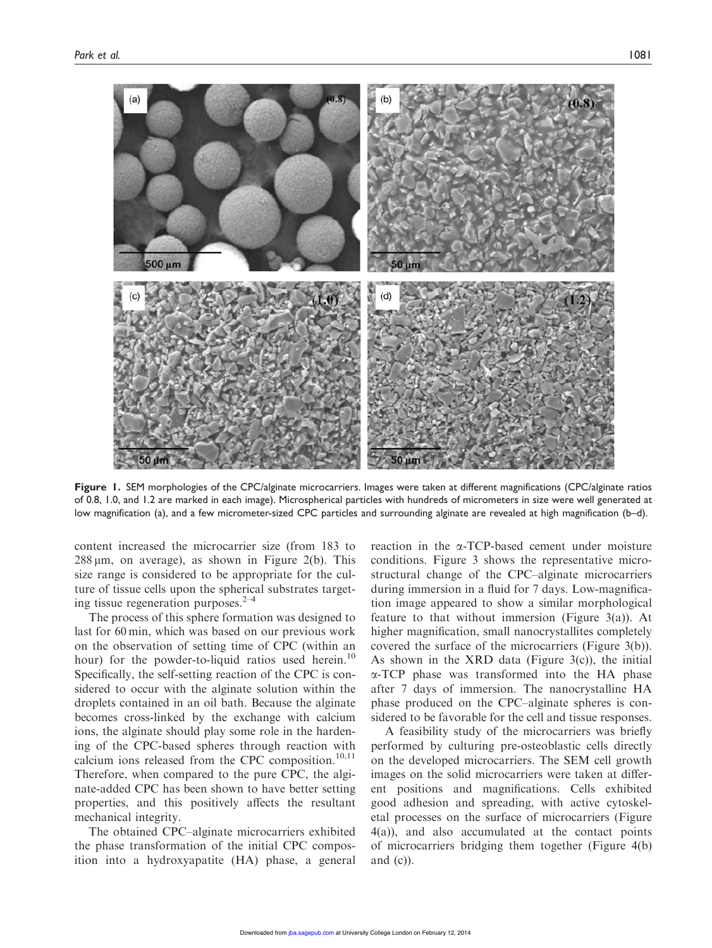

Figure 1. SEM morphologies of the CPC/alginate microcarriers. Images were taken at different magnifications (CPC/alginate ratios of 0.8, 1.0, and 1.2 are marked in each image). Microspherical particles with hundreds of micrometers in size were well generated at low magnification (a), and a few micrometer-sized CPC particles and surrounding alginate are revealed at high magnification (b–d).

content increased the microcarrier size (from 183 to  $288 \mu m$ , on average), as shown in Figure 2(b). This size range is considered to be appropriate for the culture of tissue cells upon the spherical substrates targeting tissue regeneration purposes. $2-4$ 

The process of this sphere formation was designed to last for 60 min, which was based on our previous work on the observation of setting time of CPC (within an hour) for the powder-to-liquid ratios used herein.<sup>10</sup> Specifically, the self-setting reaction of the CPC is considered to occur with the alginate solution within the droplets contained in an oil bath. Because the alginate becomes cross-linked by the exchange with calcium ions, the alginate should play some role in the hardening of the CPC-based spheres through reaction with calcium ions released from the CPC composition.<sup>10,11</sup> Therefore, when compared to the pure CPC, the alginate-added CPC has been shown to have better setting properties, and this positively affects the resultant mechanical integrity.

The obtained CPC–alginate microcarriers exhibited the phase transformation of the initial CPC composition into a hydroxyapatite (HA) phase, a general reaction in the a-TCP-based cement under moisture conditions. Figure 3 shows the representative microstructural change of the CPC–alginate microcarriers during immersion in a fluid for 7 days. Low-magnification image appeared to show a similar morphological feature to that without immersion (Figure 3(a)). At higher magnification, small nanocrystallites completely covered the surface of the microcarriers (Figure 3(b)). As shown in the XRD data (Figure 3(c)), the initial a-TCP phase was transformed into the HA phase after 7 days of immersion. The nanocrystalline HA phase produced on the CPC–alginate spheres is considered to be favorable for the cell and tissue responses.

A feasibility study of the microcarriers was briefly performed by culturing pre-osteoblastic cells directly on the developed microcarriers. The SEM cell growth images on the solid microcarriers were taken at different positions and magnifications. Cells exhibited good adhesion and spreading, with active cytoskeletal processes on the surface of microcarriers (Figure 4(a)), and also accumulated at the contact points of microcarriers bridging them together (Figure 4(b) and (c)).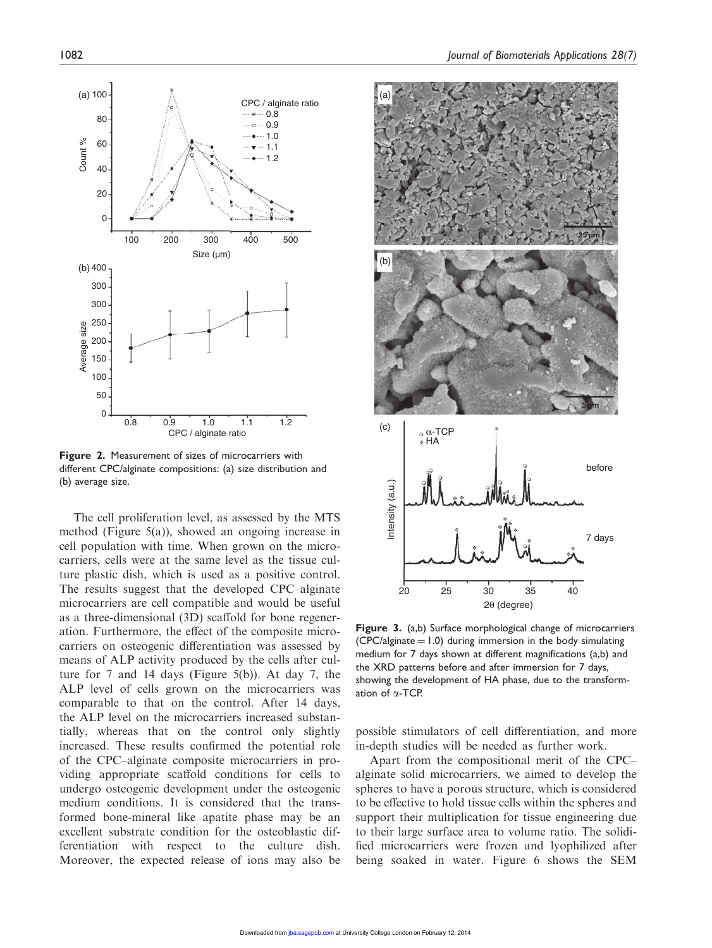

Figure 2. Measurement of sizes of microcarriers with different CPC/alginate compositions: (a) size distribution and (b) average size.

The cell proliferation level, as assessed by the MTS method (Figure 5(a)), showed an ongoing increase in cell population with time. When grown on the microcarriers, cells were at the same level as the tissue culture plastic dish, which is used as a positive control. The results suggest that the developed CPC–alginate microcarriers are cell compatible and would be useful as a three-dimensional (3D) scaffold for bone regeneration. Furthermore, the effect of the composite microcarriers on osteogenic differentiation was assessed by means of ALP activity produced by the cells after culture for 7 and 14 days (Figure 5(b)). At day 7, the ALP level of cells grown on the microcarriers was comparable to that on the control. After 14 days, the ALP level on the microcarriers increased substantially, whereas that on the control only slightly increased. These results confirmed the potential role of the CPC–alginate composite microcarriers in providing appropriate scaffold conditions for cells to undergo osteogenic development under the osteogenic medium conditions. It is considered that the transformed bone-mineral like apatite phase may be an excellent substrate condition for the osteoblastic differentiation with respect to the culture dish. Moreover, the expected release of ions may also be



Figure 3. (a,b) Surface morphological change of microcarriers  $(CPC/alginate = 1.0)$  during immersion in the body simulating medium for 7 days shown at different magnifications (a,b) and the XRD patterns before and after immersion for 7 days, showing the development of HA phase, due to the transformation of  $\alpha$ -TCP.

possible stimulators of cell differentiation, and more in-depth studies will be needed as further work.

Apart from the compositional merit of the CPC– alginate solid microcarriers, we aimed to develop the spheres to have a porous structure, which is considered to be effective to hold tissue cells within the spheres and support their multiplication for tissue engineering due to their large surface area to volume ratio. The solidified microcarriers were frozen and lyophilized after being soaked in water. Figure 6 shows the SEM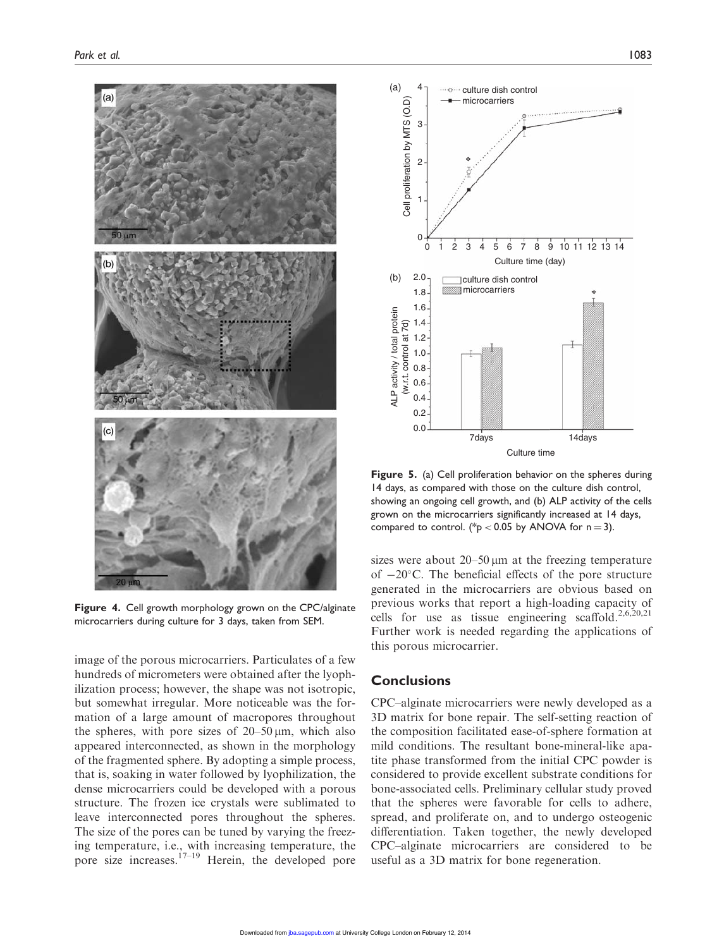

Figure 4. Cell growth morphology grown on the CPC/alginate microcarriers during culture for 3 days, taken from SEM.

image of the porous microcarriers. Particulates of a few hundreds of micrometers were obtained after the lyophilization process; however, the shape was not isotropic, but somewhat irregular. More noticeable was the formation of a large amount of macropores throughout the spheres, with pore sizes of  $20-50 \mu m$ , which also appeared interconnected, as shown in the morphology of the fragmented sphere. By adopting a simple process, that is, soaking in water followed by lyophilization, the dense microcarriers could be developed with a porous structure. The frozen ice crystals were sublimated to leave interconnected pores throughout the spheres. The size of the pores can be tuned by varying the freezing temperature, i.e., with increasing temperature, the pore size increases. $17-19$  Herein, the developed pore



Figure 5. (a) Cell proliferation behavior on the spheres during 14 days, as compared with those on the culture dish control, showing an ongoing cell growth, and (b) ALP activity of the cells grown on the microcarriers significantly increased at 14 days, compared to control. (\*p < 0.05 by ANOVA for  $n = 3$ ).

sizes were about  $20-50 \mu m$  at the freezing temperature of  $-20^{\circ}$ C. The beneficial effects of the pore structure generated in the microcarriers are obvious based on previous works that report a high-loading capacity of cells for use as tissue engineering scaffold.<sup>2,6,20,21</sup> Further work is needed regarding the applications of this porous microcarrier.

# **Conclusions**

CPC–alginate microcarriers were newly developed as a 3D matrix for bone repair. The self-setting reaction of the composition facilitated ease-of-sphere formation at mild conditions. The resultant bone-mineral-like apatite phase transformed from the initial CPC powder is considered to provide excellent substrate conditions for bone-associated cells. Preliminary cellular study proved that the spheres were favorable for cells to adhere, spread, and proliferate on, and to undergo osteogenic differentiation. Taken together, the newly developed CPC–alginate microcarriers are considered to be useful as a 3D matrix for bone regeneration.